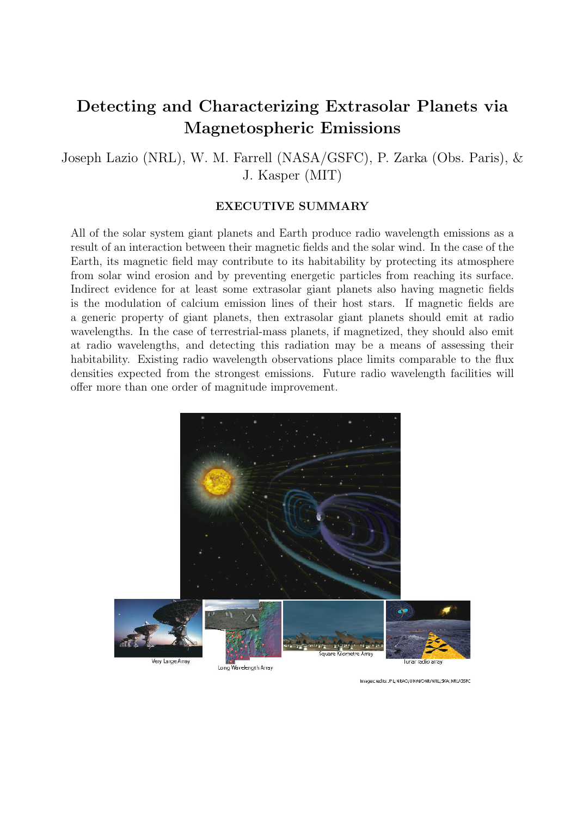# Detecting and Characterizing Extrasolar Planets via Magnetospheric Emissions

Joseph Lazio (NRL), W. M. Farrell (NASA/GSFC), P. Zarka (Obs. Paris), & J. Kasper (MIT)

### EXECUTIVE SUMMARY

All of the solar system giant planets and Earth produce radio wavelength emissions as a result of an interaction between their magnetic fields and the solar wind. In the case of the Earth, its magnetic field may contribute to its habitability by protecting its atmosphere from solar wind erosion and by preventing energetic particles from reaching its surface. Indirect evidence for at least some extrasolar giant planets also having magnetic fields is the modulation of calcium emission lines of their host stars. If magnetic fields are a generic property of giant planets, then extrasolar giant planets should emit at radio wavelengths. In the case of terrestrial-mass planets, if magnetized, they should also emit at radio wavelengths, and detecting this radiation may be a means of assessing their habitability. Existing radio wavelength observations place limits comparable to the flux densities expected from the strongest emissions. Future radio wavelength facilities will offer more than one order of magnitude improvement.



Image credits: JP L: NRAO: UNM/ONR/NRL: SKA: NRL/GSFC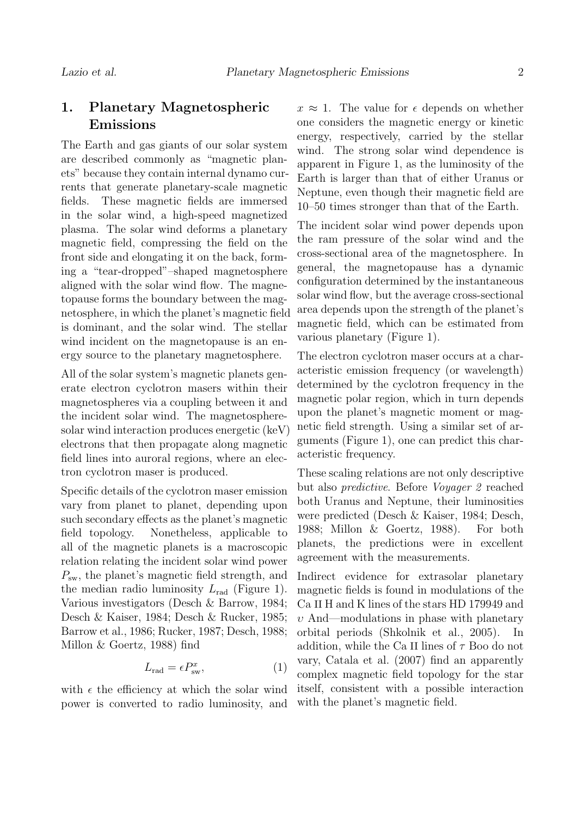### 1. Planetary Magnetospheric Emissions

The Earth and gas giants of our solar system are described commonly as "magnetic planets" because they contain internal dynamo currents that generate planetary-scale magnetic fields. These magnetic fields are immersed in the solar wind, a high-speed magnetized plasma. The solar wind deforms a planetary magnetic field, compressing the field on the front side and elongating it on the back, forming a "tear-dropped"–shaped magnetosphere aligned with the solar wind flow. The magnetopause forms the boundary between the magnetosphere, in which the planet's magnetic field is dominant, and the solar wind. The stellar wind incident on the magnetopause is an energy source to the planetary magnetosphere.

All of the solar system's magnetic planets generate electron cyclotron masers within their magnetospheres via a coupling between it and the incident solar wind. The magnetospheresolar wind interaction produces energetic (keV) electrons that then propagate along magnetic field lines into auroral regions, where an electron cyclotron maser is produced.

Specific details of the cyclotron maser emission vary from planet to planet, depending upon such secondary effects as the planet's magnetic field topology. Nonetheless, applicable to all of the magnetic planets is a macroscopic relation relating the incident solar wind power  $P_{\rm sw}$ , the planet's magnetic field strength, and the median radio luminosity  $L_{rad}$  (Figure 1). Various investigators (Desch & Barrow, 1984; Desch & Kaiser, 1984; Desch & Rucker, 1985; Barrow et al., 1986; Rucker, 1987; Desch, 1988; Millon & Goertz, 1988) find

$$
L_{\rm rad} = \epsilon P_{\rm sw}^x,\tag{1}
$$

with  $\epsilon$  the efficiency at which the solar wind power is converted to radio luminosity, and  $x \approx 1$ . The value for  $\epsilon$  depends on whether one considers the magnetic energy or kinetic energy, respectively, carried by the stellar wind. The strong solar wind dependence is apparent in Figure 1, as the luminosity of the Earth is larger than that of either Uranus or Neptune, even though their magnetic field are 10–50 times stronger than that of the Earth.

The incident solar wind power depends upon the ram pressure of the solar wind and the cross-sectional area of the magnetosphere. In general, the magnetopause has a dynamic configuration determined by the instantaneous solar wind flow, but the average cross-sectional area depends upon the strength of the planet's magnetic field, which can be estimated from various planetary (Figure 1).

The electron cyclotron maser occurs at a characteristic emission frequency (or wavelength) determined by the cyclotron frequency in the magnetic polar region, which in turn depends upon the planet's magnetic moment or magnetic field strength. Using a similar set of arguments (Figure 1), one can predict this characteristic frequency.

These scaling relations are not only descriptive but also predictive. Before Voyager 2 reached both Uranus and Neptune, their luminosities were predicted (Desch & Kaiser, 1984; Desch, 1988; Millon & Goertz, 1988). For both planets, the predictions were in excellent agreement with the measurements.

Indirect evidence for extrasolar planetary magnetic fields is found in modulations of the Ca II H and K lines of the stars HD 179949 and  $v$  And—modulations in phase with planetary orbital periods (Shkolnik et al., 2005). In addition, while the Ca II lines of  $\tau$  Boo do not vary, Catala et al. (2007) find an apparently complex magnetic field topology for the star itself, consistent with a possible interaction with the planet's magnetic field.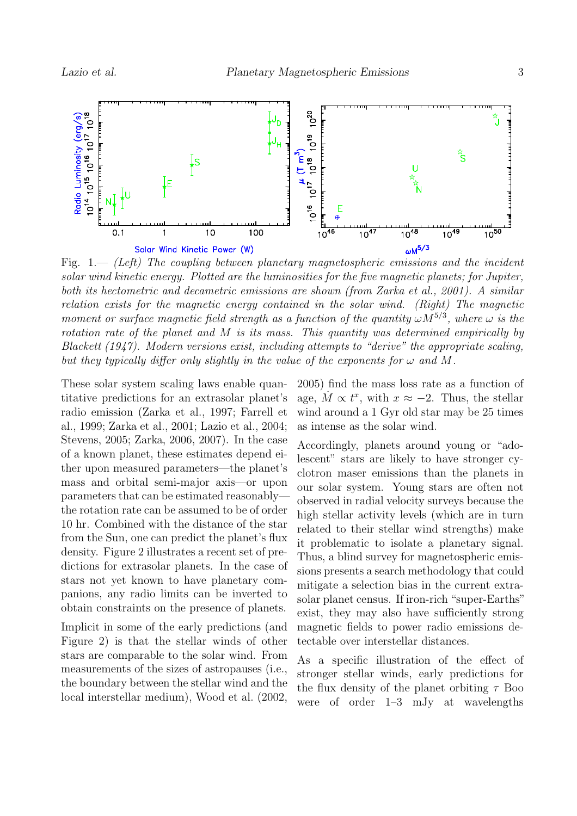

solar wind kinetic energy. Plotted are the luminosities for the five magnetic planets; for Jupiter, both its hectometric and decametric emissions are shown (from Zarka et al., 2001). A similar relation exists for the magnetic energy contained in the solar wind. (Right) The magnetic moment or surface magnetic field strength as a function of the quantity  $\omega M^{5/3}$ , where  $\omega$  is the rotation rate of the planet and M is its mass. This quantity was determined empirically by Blackett (1947). Modern versions exist, including attempts to "derive" the appropriate scaling, but they typically differ only slightly in the value of the exponents for  $\omega$  and M.

These solar system scaling laws enable quantitative predictions for an extrasolar planet's radio emission (Zarka et al., 1997; Farrell et al., 1999; Zarka et al., 2001; Lazio et al., 2004; Stevens, 2005; Zarka, 2006, 2007). In the case of a known planet, these estimates depend either upon measured parameters—the planet's mass and orbital semi-major axis—or upon parameters that can be estimated reasonably the rotation rate can be assumed to be of order 10 hr. Combined with the distance of the star from the Sun, one can predict the planet's flux density. Figure 2 illustrates a recent set of predictions for extrasolar planets. In the case of stars not yet known to have planetary companions, any radio limits can be inverted to obtain constraints on the presence of planets.

Implicit in some of the early predictions (and Figure 2) is that the stellar winds of other stars are comparable to the solar wind. From measurements of the sizes of astropauses (i.e., the boundary between the stellar wind and the local interstellar medium), Wood et al. (2002,

2005) find the mass loss rate as a function of age,  $\dot{M} \propto t^x$ , with  $x \approx -2$ . Thus, the stellar wind around a 1 Gyr old star may be 25 times as intense as the solar wind.

Accordingly, planets around young or "adolescent" stars are likely to have stronger cyclotron maser emissions than the planets in our solar system. Young stars are often not observed in radial velocity surveys because the high stellar activity levels (which are in turn related to their stellar wind strengths) make it problematic to isolate a planetary signal. Thus, a blind survey for magnetospheric emissions presents a search methodology that could mitigate a selection bias in the current extrasolar planet census. If iron-rich "super-Earths" exist, they may also have sufficiently strong magnetic fields to power radio emissions detectable over interstellar distances.

As a specific illustration of the effect of stronger stellar winds, early predictions for the flux density of the planet orbiting  $\tau$  Boo were of order 1–3 mJy at wavelengths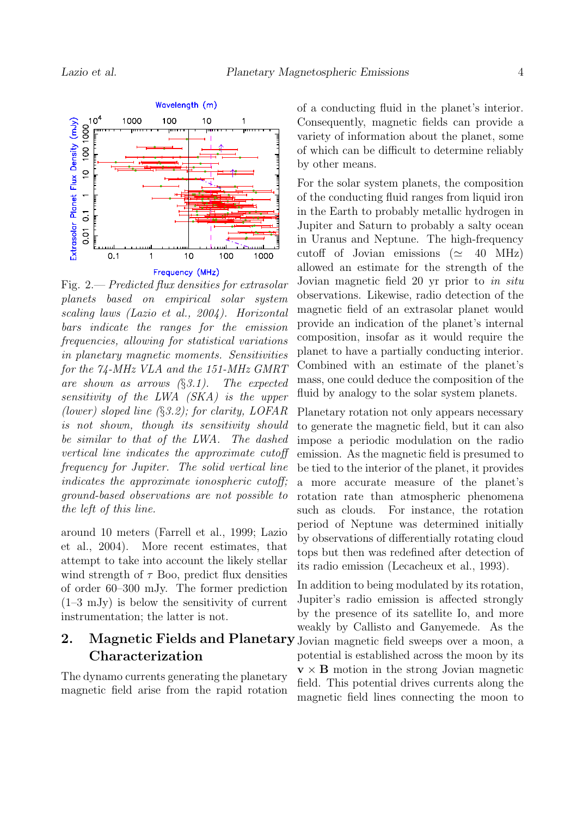

Fig. 2.— Predicted flux densities for extrasolar planets based on empirical solar system scaling laws (Lazio et al., 2004). Horizontal bars indicate the ranges for the emission frequencies, allowing for statistical variations in planetary magnetic moments. Sensitivities for the 74-MHz VLA and the 151-MHz GMRT are shown as arrows  $(\S 3.1)$ . The expected sensitivity of the LWA (SKA) is the upper (lower) sloped line (§3.2); for clarity, LOFAR is not shown, though its sensitivity should be similar to that of the LWA. The dashed vertical line indicates the approximate cutoff frequency for Jupiter. The solid vertical line indicates the approximate ionospheric cutoff; ground-based observations are not possible to the left of this line.

around 10 meters (Farrell et al., 1999; Lazio et al., 2004). More recent estimates, that attempt to take into account the likely stellar wind strength of  $\tau$  Boo, predict flux densities of order 60–300 mJy. The former prediction (1–3 mJy) is below the sensitivity of current instrumentation; the latter is not.

## 2. Magnetic Fields and Planetary Jovian magnetic field sweeps over a moon, a Characterization

The dynamo currents generating the planetary magnetic field arise from the rapid rotation of a conducting fluid in the planet's interior. Consequently, magnetic fields can provide a variety of information about the planet, some of which can be difficult to determine reliably by other means.

For the solar system planets, the composition of the conducting fluid ranges from liquid iron in the Earth to probably metallic hydrogen in Jupiter and Saturn to probably a salty ocean in Uranus and Neptune. The high-frequency cutoff of Jovian emissions ( $\simeq$  40 MHz) allowed an estimate for the strength of the Jovian magnetic field 20 yr prior to in situ observations. Likewise, radio detection of the magnetic field of an extrasolar planet would provide an indication of the planet's internal composition, insofar as it would require the planet to have a partially conducting interior. Combined with an estimate of the planet's mass, one could deduce the composition of the fluid by analogy to the solar system planets.

Planetary rotation not only appears necessary to generate the magnetic field, but it can also impose a periodic modulation on the radio emission. As the magnetic field is presumed to be tied to the interior of the planet, it provides a more accurate measure of the planet's rotation rate than atmospheric phenomena such as clouds. For instance, the rotation period of Neptune was determined initially by observations of differentially rotating cloud tops but then was redefined after detection of its radio emission (Lecacheux et al., 1993).

In addition to being modulated by its rotation, Jupiter's radio emission is affected strongly by the presence of its satellite Io, and more weakly by Callisto and Ganyemede. As the potential is established across the moon by its  $v \times B$  motion in the strong Jovian magnetic field. This potential drives currents along the magnetic field lines connecting the moon to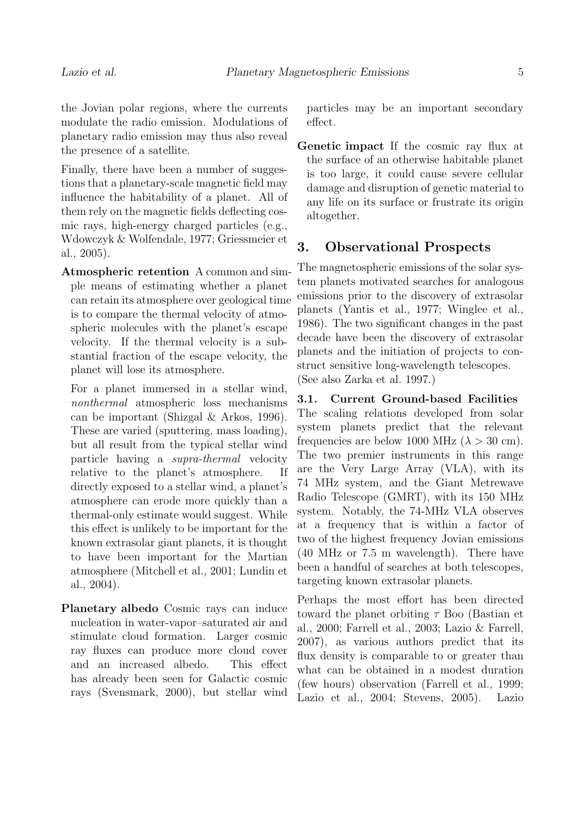planetary radio emission may thus also reveal the presence of a satellite.

Finally, there have been a number of suggestions that a planetary-scale magnetic field may influence the habitability of a planet. All of them rely on the magnetic fields deflecting cosmic rays, high-energy charged particles (e.g., Wdowczyk & Wolfendale, 1977; Griessmeier et al., 2005).

Atmospheric retention A common and simple means of estimating whether a planet can retain its atmosphere over geological time is to compare the thermal velocity of atmospheric molecules with the planet's escape velocity. If the thermal velocity is a substantial fraction of the escape velocity, the planet will lose its atmosphere.

For a planet immersed in a stellar wind, nonthermal atmospheric loss mechanisms can be important (Shizgal & Arkos, 1996). These are varied (sputtering, mass loading), but all result from the typical stellar wind particle having a supra-thermal velocity relative to the planet's atmosphere. If directly exposed to a stellar wind, a planet's atmosphere can erode more quickly than a thermal-only estimate would suggest. While this effect is unlikely to be important for the known extrasolar giant planets, it is thought to have been important for the Martian atmosphere (Mitchell et al., 2001; Lundin et al., 2004).

Planetary albedo Cosmic rays can induce nucleation in water-vapor–saturated air and stimulate cloud formation. Larger cosmic ray fluxes can produce more cloud cover and an increased albedo. This effect has already been seen for Galactic cosmic rays (Svensmark, 2000), but stellar wind particles may be an important secondary effect.

Genetic impact If the cosmic ray flux at the surface of an otherwise habitable planet is too large, it could cause severe cellular damage and disruption of genetic material to any life on its surface or frustrate its origin altogether.

### 3. Observational Prospects

The magnetospheric emissions of the solar system planets motivated searches for analogous emissions prior to the discovery of extrasolar planets (Yantis et al., 1977; Winglee et al., 1986). The two significant changes in the past decade have been the discovery of extrasolar planets and the initiation of projects to construct sensitive long-wavelength telescopes. (See also Zarka et al. 1997.)

3.1. Current Ground-based Facilities The scaling relations developed from solar system planets predict that the relevant frequencies are below 1000 MHz ( $\lambda > 30$  cm). The two premier instruments in this range are the Very Large Array (VLA), with its 74 MHz system, and the Giant Metrewave Radio Telescope (GMRT), with its 150 MHz system. Notably, the 74-MHz VLA observes at a frequency that is within a factor of two of the highest frequency Jovian emissions (40 MHz or 7.5 m wavelength). There have been a handful of searches at both telescopes, targeting known extrasolar planets.

Perhaps the most effort has been directed toward the planet orbiting  $\tau$  Boo (Bastian et al., 2000; Farrell et al., 2003; Lazio & Farrell, 2007), as various authors predict that its flux density is comparable to or greater than what can be obtained in a modest duration (few hours) observation (Farrell et al., 1999; Lazio et al., 2004; Stevens, 2005). Lazio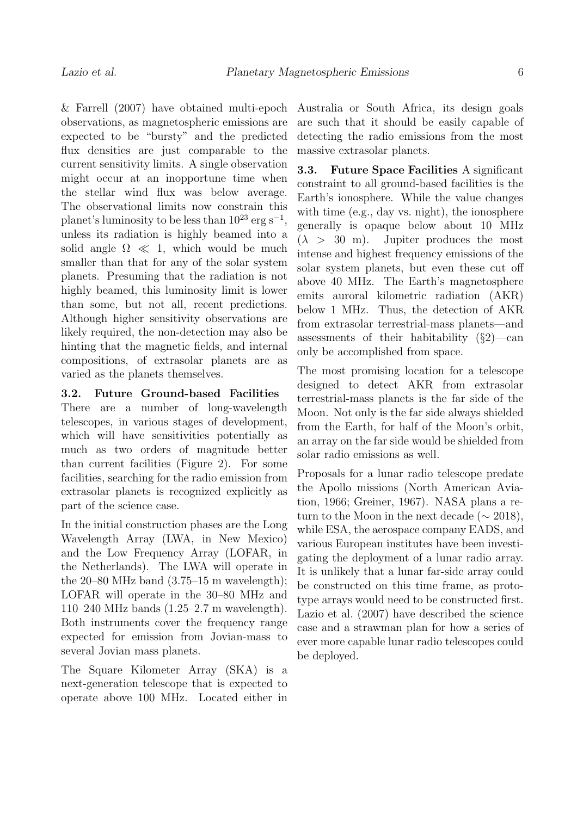& Farrell (2007) have obtained multi-epoch observations, as magnetospheric emissions are expected to be "bursty" and the predicted flux densities are just comparable to the current sensitivity limits. A single observation might occur at an inopportune time when the stellar wind flux was below average. The observational limits now constrain this planet's luminosity to be less than  $10^{23}$  erg s<sup>-1</sup>, unless its radiation is highly beamed into a solid angle  $\Omega \ll 1$ , which would be much smaller than that for any of the solar system planets. Presuming that the radiation is not highly beamed, this luminosity limit is lower than some, but not all, recent predictions. Although higher sensitivity observations are likely required, the non-detection may also be hinting that the magnetic fields, and internal compositions, of extrasolar planets are as varied as the planets themselves.

#### 3.2. Future Ground-based Facilities

There are a number of long-wavelength telescopes, in various stages of development, which will have sensitivities potentially as much as two orders of magnitude better than current facilities (Figure 2). For some facilities, searching for the radio emission from extrasolar planets is recognized explicitly as part of the science case.

In the initial construction phases are the Long Wavelength Array (LWA, in New Mexico) and the Low Frequency Array (LOFAR, in the Netherlands). The LWA will operate in the  $20-80$  MHz band  $(3.75-15 \text{ m wavelength})$ ; LOFAR will operate in the 30–80 MHz and 110–240 MHz bands (1.25–2.7 m wavelength). Both instruments cover the frequency range expected for emission from Jovian-mass to several Jovian mass planets.

The Square Kilometer Array (SKA) is a next-generation telescope that is expected to operate above 100 MHz. Located either in Australia or South Africa, its design goals are such that it should be easily capable of detecting the radio emissions from the most massive extrasolar planets.

3.3. Future Space Facilities A significant constraint to all ground-based facilities is the Earth's ionosphere. While the value changes with time (e.g., day vs. night), the ionosphere generally is opaque below about 10 MHz  $(\lambda > 30 \text{ m})$ . Jupiter produces the most intense and highest frequency emissions of the solar system planets, but even these cut off above 40 MHz. The Earth's magnetosphere emits auroral kilometric radiation (AKR) below 1 MHz. Thus, the detection of AKR from extrasolar terrestrial-mass planets—and assessments of their habitability  $(\S2)$ —can only be accomplished from space.

The most promising location for a telescope designed to detect AKR from extrasolar terrestrial-mass planets is the far side of the Moon. Not only is the far side always shielded from the Earth, for half of the Moon's orbit, an array on the far side would be shielded from solar radio emissions as well.

Proposals for a lunar radio telescope predate the Apollo missions (North American Aviation, 1966; Greiner, 1967). NASA plans a return to the Moon in the next decade ( $\sim$  2018), while ESA, the aerospace company EADS, and various European institutes have been investigating the deployment of a lunar radio array. It is unlikely that a lunar far-side array could be constructed on this time frame, as prototype arrays would need to be constructed first. Lazio et al. (2007) have described the science case and a strawman plan for how a series of ever more capable lunar radio telescopes could be deployed.